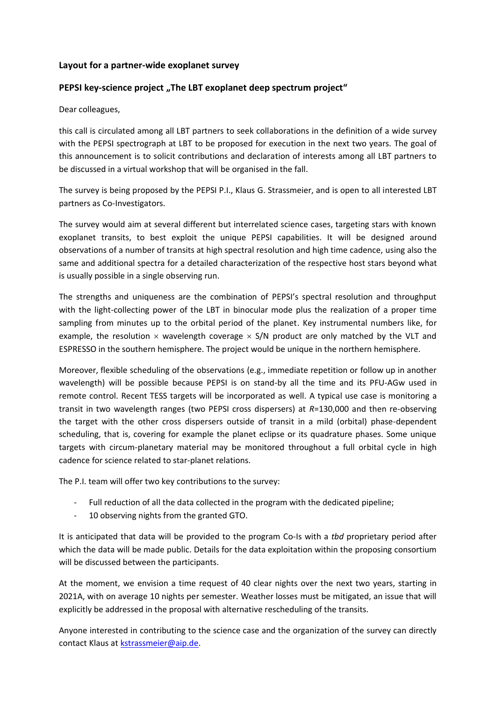## **Layout for a partner-wide exoplanet survey**

## **PEPSI key-science project**, The LBT exoplanet deep spectrum project"

Dear colleagues,

this call is circulated among all LBT partners to seek collaborations in the definition of a wide survey with the PEPSI spectrograph at LBT to be proposed for execution in the next two years. The goal of this announcement is to solicit contributions and declaration of interests among all LBT partners to be discussed in a virtual workshop that will be organised in the fall.

The survey is being proposed by the PEPSI P.I., Klaus G. Strassmeier, and is open to all interested LBT partners as Co-Investigators.

The survey would aim at several different but interrelated science cases, targeting stars with known exoplanet transits, to best exploit the unique PEPSI capabilities. It will be designed around observations of a number of transits at high spectral resolution and high time cadence, using also the same and additional spectra for a detailed characterization of the respective host stars beyond what is usually possible in a single observing run.

The strengths and uniqueness are the combination of PEPSI's spectral resolution and throughput with the light-collecting power of the LBT in binocular mode plus the realization of a proper time sampling from minutes up to the orbital period of the planet. Key instrumental numbers like, for example, the resolution  $\times$  wavelength coverage  $\times$  S/N product are only matched by the VLT and ESPRESSO in the southern hemisphere. The project would be unique in the northern hemisphere.

Moreover, flexible scheduling of the observations (e.g., immediate repetition or follow up in another wavelength) will be possible because PEPSI is on stand-by all the time and its PFU-AGw used in remote control. Recent TESS targets will be incorporated as well. A typical use case is monitoring a transit in two wavelength ranges (two PEPSI cross dispersers) at *R*=130,000 and then re-observing the target with the other cross dispersers outside of transit in a mild (orbital) phase-dependent scheduling, that is, covering for example the planet eclipse or its quadrature phases. Some unique targets with circum-planetary material may be monitored throughout a full orbital cycle in high cadence for science related to star-planet relations.

The P.I. team will offer two key contributions to the survey:

- Full reduction of all the data collected in the program with the dedicated pipeline;
- 10 observing nights from the granted GTO.

It is anticipated that data will be provided to the program Co-Is with a *tbd* proprietary period after which the data will be made public. Details for the data exploitation within the proposing consortium will be discussed between the participants.

At the moment, we envision a time request of 40 clear nights over the next two years, starting in 2021A, with on average 10 nights per semester. Weather losses must be mitigated, an issue that will explicitly be addressed in the proposal with alternative rescheduling of the transits.

Anyone interested in contributing to the science case and the organization of the survey can directly contact Klaus at [kstrassmeier@aip.de.](mailto:kstrassmeier@aip.de)